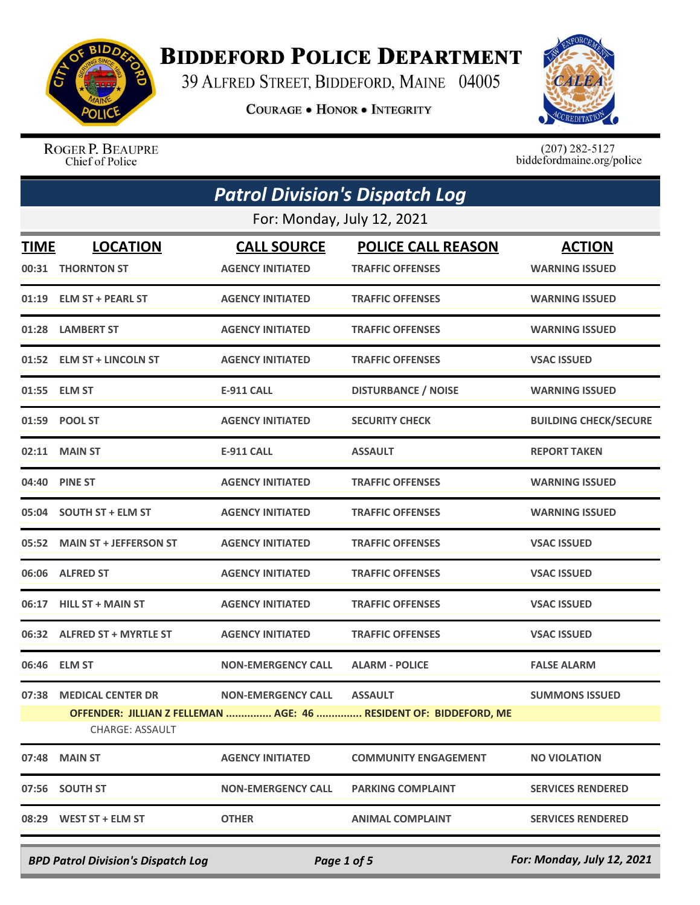

## **BIDDEFORD POLICE DEPARTMENT**

39 ALFRED STREET, BIDDEFORD, MAINE 04005

**COURAGE . HONOR . INTEGRITY** 



ROGER P. BEAUPRE Chief of Police

 $(207)$  282-5127<br>biddefordmaine.org/police

|             | <b>Patrol Division's Dispatch Log</b> |                                               |                                                                   |                                        |  |
|-------------|---------------------------------------|-----------------------------------------------|-------------------------------------------------------------------|----------------------------------------|--|
|             | For: Monday, July 12, 2021            |                                               |                                                                   |                                        |  |
| <b>TIME</b> | <b>LOCATION</b><br>00:31 THORNTON ST  | <b>CALL SOURCE</b><br><b>AGENCY INITIATED</b> | <b>POLICE CALL REASON</b><br><b>TRAFFIC OFFENSES</b>              | <b>ACTION</b><br><b>WARNING ISSUED</b> |  |
|             | 01:19 ELM ST + PEARL ST               | <b>AGENCY INITIATED</b>                       | <b>TRAFFIC OFFENSES</b>                                           | <b>WARNING ISSUED</b>                  |  |
| 01:28       | <b>LAMBERT ST</b>                     | <b>AGENCY INITIATED</b>                       | <b>TRAFFIC OFFENSES</b>                                           | <b>WARNING ISSUED</b>                  |  |
| 01:52       | <b>ELM ST + LINCOLN ST</b>            | <b>AGENCY INITIATED</b>                       | <b>TRAFFIC OFFENSES</b>                                           | <b>VSAC ISSUED</b>                     |  |
|             | 01:55 ELM ST                          | <b>E-911 CALL</b>                             | <b>DISTURBANCE / NOISE</b>                                        | <b>WARNING ISSUED</b>                  |  |
| 01:59       | <b>POOL ST</b>                        | <b>AGENCY INITIATED</b>                       | <b>SECURITY CHECK</b>                                             | <b>BUILDING CHECK/SECURE</b>           |  |
| 02:11       | <b>MAIN ST</b>                        | <b>E-911 CALL</b>                             | <b>ASSAULT</b>                                                    | <b>REPORT TAKEN</b>                    |  |
| 04:40       | <b>PINE ST</b>                        | <b>AGENCY INITIATED</b>                       | <b>TRAFFIC OFFENSES</b>                                           | <b>WARNING ISSUED</b>                  |  |
|             | 05:04 SOUTH ST + ELM ST               | <b>AGENCY INITIATED</b>                       | <b>TRAFFIC OFFENSES</b>                                           | <b>WARNING ISSUED</b>                  |  |
| 05:52       | <b>MAIN ST + JEFFERSON ST</b>         | <b>AGENCY INITIATED</b>                       | <b>TRAFFIC OFFENSES</b>                                           | <b>VSAC ISSUED</b>                     |  |
| 06:06       | <b>ALFRED ST</b>                      | <b>AGENCY INITIATED</b>                       | <b>TRAFFIC OFFENSES</b>                                           | <b>VSAC ISSUED</b>                     |  |
| 06:17       | <b>HILL ST + MAIN ST</b>              | <b>AGENCY INITIATED</b>                       | <b>TRAFFIC OFFENSES</b>                                           | <b>VSAC ISSUED</b>                     |  |
|             | 06:32 ALFRED ST + MYRTLE ST           | <b>AGENCY INITIATED</b>                       | <b>TRAFFIC OFFENSES</b>                                           | <b>VSAC ISSUED</b>                     |  |
|             | 06:46 ELM ST                          | <b>NON-EMERGENCY CALL</b>                     | <b>ALARM - POLICE</b>                                             | <b>FALSE ALARM</b>                     |  |
|             | 07:38 MEDICAL CENTER DR               | NON-EMERGENCY CALL ASSAULT                    |                                                                   | <b>SUMMONS ISSUED</b>                  |  |
|             | <b>CHARGE: ASSAULT</b>                |                                               | OFFENDER: JILLIAN Z FELLEMAN  AGE: 46  RESIDENT OF: BIDDEFORD, ME |                                        |  |
|             | 07:48 MAIN ST                         | <b>AGENCY INITIATED</b>                       | <b>COMMUNITY ENGAGEMENT</b>                                       | <b>NO VIOLATION</b>                    |  |
|             | 07:56 SOUTH ST                        | <b>NON-EMERGENCY CALL</b>                     | <b>PARKING COMPLAINT</b>                                          | <b>SERVICES RENDERED</b>               |  |
|             | 08:29 WEST ST + ELM ST                | <b>OTHER</b>                                  | <b>ANIMAL COMPLAINT</b>                                           | <b>SERVICES RENDERED</b>               |  |
|             |                                       |                                               |                                                                   |                                        |  |

*BPD Patrol Division's Dispatch Log Page 1 of 5 For: Monday, July 12, 2021*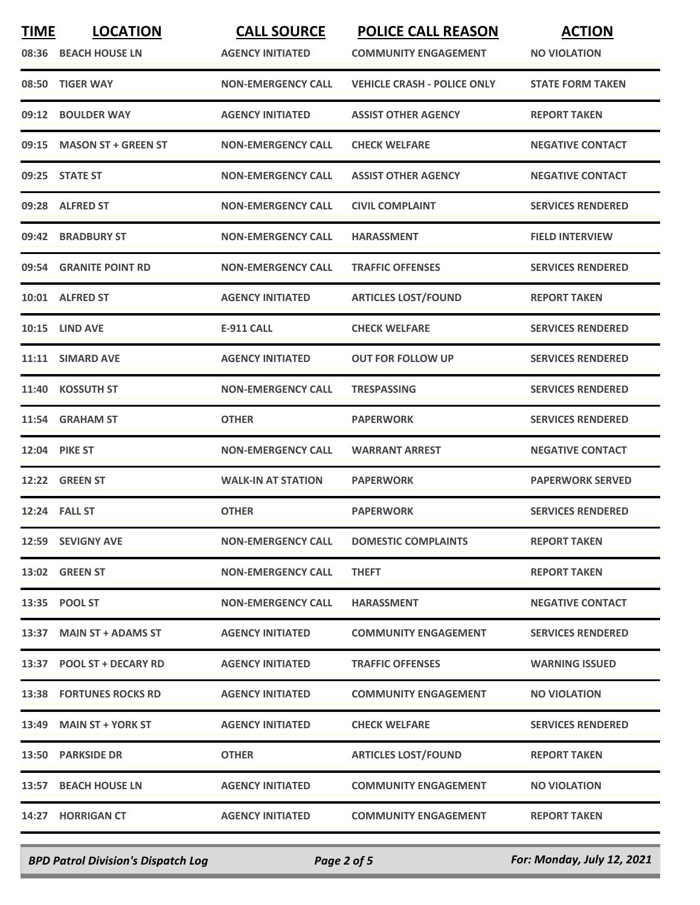| <b>TIME</b> | <b>LOCATION</b>                | <b>CALL SOURCE</b>        | <b>POLICE CALL REASON</b>          | <b>ACTION</b>            |
|-------------|--------------------------------|---------------------------|------------------------------------|--------------------------|
|             | 08:36 BEACH HOUSE LN           | <b>AGENCY INITIATED</b>   | <b>COMMUNITY ENGAGEMENT</b>        | <b>NO VIOLATION</b>      |
| 08:50       | <b>TIGER WAY</b>               | <b>NON-EMERGENCY CALL</b> | <b>VEHICLE CRASH - POLICE ONLY</b> | <b>STATE FORM TAKEN</b>  |
| 09:12       | <b>BOULDER WAY</b>             | <b>AGENCY INITIATED</b>   | <b>ASSIST OTHER AGENCY</b>         | <b>REPORT TAKEN</b>      |
| 09:15       | <b>MASON ST + GREEN ST</b>     | <b>NON-EMERGENCY CALL</b> | <b>CHECK WELFARE</b>               | <b>NEGATIVE CONTACT</b>  |
|             | 09:25 STATE ST                 | <b>NON-EMERGENCY CALL</b> | <b>ASSIST OTHER AGENCY</b>         | <b>NEGATIVE CONTACT</b>  |
| 09:28       | <b>ALFRED ST</b>               | <b>NON-EMERGENCY CALL</b> | <b>CIVIL COMPLAINT</b>             | <b>SERVICES RENDERED</b> |
| 09:42       | <b>BRADBURY ST</b>             | <b>NON-EMERGENCY CALL</b> | <b>HARASSMENT</b>                  | <b>FIELD INTERVIEW</b>   |
| 09:54       | <b>GRANITE POINT RD</b>        | <b>NON-EMERGENCY CALL</b> | <b>TRAFFIC OFFENSES</b>            | <b>SERVICES RENDERED</b> |
|             | 10:01 ALFRED ST                | <b>AGENCY INITIATED</b>   | <b>ARTICLES LOST/FOUND</b>         | <b>REPORT TAKEN</b>      |
|             | <b>10:15 LIND AVE</b>          | <b>E-911 CALL</b>         | <b>CHECK WELFARE</b>               | <b>SERVICES RENDERED</b> |
|             | 11:11 SIMARD AVE               | <b>AGENCY INITIATED</b>   | <b>OUT FOR FOLLOW UP</b>           | <b>SERVICES RENDERED</b> |
| 11:40       | <b>KOSSUTH ST</b>              | <b>NON-EMERGENCY CALL</b> | <b>TRESPASSING</b>                 | <b>SERVICES RENDERED</b> |
| 11:54       | <b>GRAHAM ST</b>               | <b>OTHER</b>              | <b>PAPERWORK</b>                   | <b>SERVICES RENDERED</b> |
|             | <b>12:04 PIKE ST</b>           | <b>NON-EMERGENCY CALL</b> | <b>WARRANT ARREST</b>              | <b>NEGATIVE CONTACT</b>  |
| 12:22       | <b>GREEN ST</b>                | <b>WALK-IN AT STATION</b> | <b>PAPERWORK</b>                   | <b>PAPERWORK SERVED</b>  |
|             | 12:24 FALL ST                  | <b>OTHER</b>              | <b>PAPERWORK</b>                   | <b>SERVICES RENDERED</b> |
|             | 12:59 SEVIGNY AVE              | <b>NON-EMERGENCY CALL</b> | <b>DOMESTIC COMPLAINTS</b>         | <b>REPORT TAKEN</b>      |
|             | <b>13:02 GREEN ST</b>          | <b>NON-EMERGENCY CALL</b> | <b>THEFT</b>                       | <b>REPORT TAKEN</b>      |
|             | 13:35 POOL ST                  | <b>NON-EMERGENCY CALL</b> | <b>HARASSMENT</b>                  | <b>NEGATIVE CONTACT</b>  |
|             | 13:37 MAIN ST + ADAMS ST       | <b>AGENCY INITIATED</b>   | <b>COMMUNITY ENGAGEMENT</b>        | <b>SERVICES RENDERED</b> |
|             | 13:37 POOL ST + DECARY RD      | <b>AGENCY INITIATED</b>   | <b>TRAFFIC OFFENSES</b>            | <b>WARNING ISSUED</b>    |
|             | <b>13:38 FORTUNES ROCKS RD</b> | <b>AGENCY INITIATED</b>   | <b>COMMUNITY ENGAGEMENT</b>        | <b>NO VIOLATION</b>      |
|             | 13:49 MAIN ST + YORK ST        | <b>AGENCY INITIATED</b>   | <b>CHECK WELFARE</b>               | <b>SERVICES RENDERED</b> |
|             | 13:50 PARKSIDE DR              | <b>OTHER</b>              | <b>ARTICLES LOST/FOUND</b>         | <b>REPORT TAKEN</b>      |
|             | 13:57 BEACH HOUSE LN           | <b>AGENCY INITIATED</b>   | <b>COMMUNITY ENGAGEMENT</b>        | <b>NO VIOLATION</b>      |
|             | 14:27 HORRIGAN CT              | <b>AGENCY INITIATED</b>   | <b>COMMUNITY ENGAGEMENT</b>        | <b>REPORT TAKEN</b>      |
|             |                                |                           |                                    |                          |

*BPD Patrol Division's Dispatch Log Page 2 of 5 For: Monday, July 12, 2021*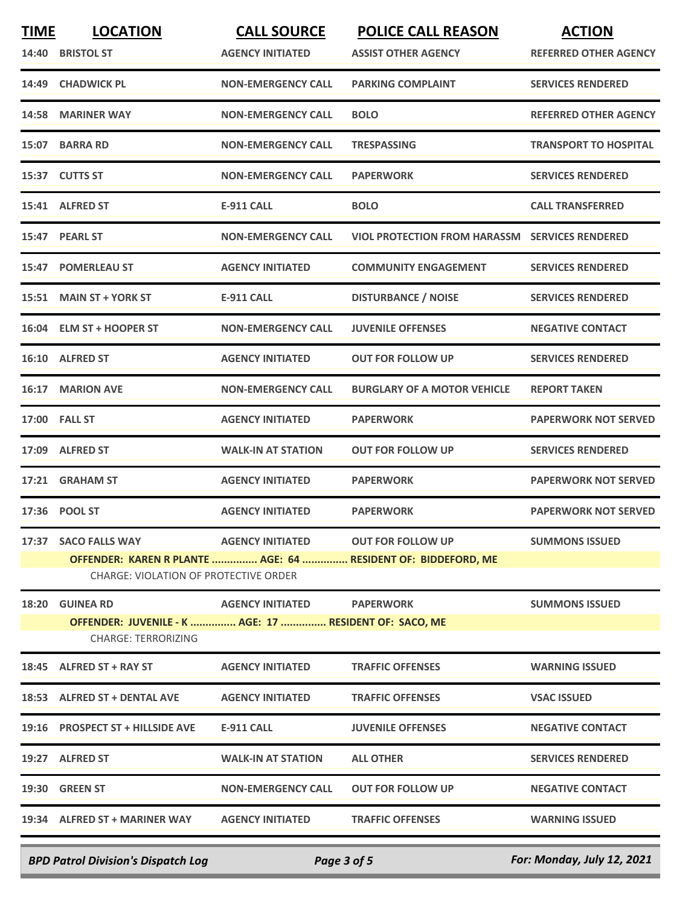| <b>TIME</b> | <b>LOCATION</b>                                                                      | <b>CALL SOURCE</b>         | <b>POLICE CALL REASON</b>                                     | <b>ACTION</b>                |
|-------------|--------------------------------------------------------------------------------------|----------------------------|---------------------------------------------------------------|------------------------------|
| 14:40       | <b>BRISTOL ST</b>                                                                    | <b>AGENCY INITIATED</b>    | <b>ASSIST OTHER AGENCY</b>                                    | <b>REFERRED OTHER AGENCY</b> |
| 14:49       | <b>CHADWICK PL</b>                                                                   | <b>NON-EMERGENCY CALL</b>  | <b>PARKING COMPLAINT</b>                                      | <b>SERVICES RENDERED</b>     |
| 14:58       | <b>MARINER WAY</b>                                                                   | <b>NON-EMERGENCY CALL</b>  | <b>BOLO</b>                                                   | <b>REFERRED OTHER AGENCY</b> |
| 15:07       | <b>BARRA RD</b>                                                                      | <b>NON-EMERGENCY CALL</b>  | <b>TRESPASSING</b>                                            | <b>TRANSPORT TO HOSPITAL</b> |
|             | 15:37 CUTTS ST                                                                       | <b>NON-EMERGENCY CALL</b>  | <b>PAPERWORK</b>                                              | <b>SERVICES RENDERED</b>     |
|             | 15:41 ALFRED ST                                                                      | <b>E-911 CALL</b>          | <b>BOLO</b>                                                   | <b>CALL TRANSFERRED</b>      |
| 15:47       | <b>PEARL ST</b>                                                                      | <b>NON-EMERGENCY CALL</b>  | <b>VIOL PROTECTION FROM HARASSM</b>                           | <b>SERVICES RENDERED</b>     |
| 15:47       | <b>POMERLEAU ST</b>                                                                  | <b>AGENCY INITIATED</b>    | <b>COMMUNITY ENGAGEMENT</b>                                   | <b>SERVICES RENDERED</b>     |
|             | 15:51 MAIN ST + YORK ST                                                              | E-911 CALL                 | <b>DISTURBANCE / NOISE</b>                                    | <b>SERVICES RENDERED</b>     |
|             | 16:04 ELM ST + HOOPER ST                                                             | <b>NON-EMERGENCY CALL</b>  | <b>JUVENILE OFFENSES</b>                                      | <b>NEGATIVE CONTACT</b>      |
|             | 16:10 ALFRED ST                                                                      | <b>AGENCY INITIATED</b>    | <b>OUT FOR FOLLOW UP</b>                                      | <b>SERVICES RENDERED</b>     |
| 16:17       | <b>MARION AVE</b>                                                                    | <b>NON-EMERGENCY CALL</b>  | <b>BURGLARY OF A MOTOR VEHICLE</b>                            | <b>REPORT TAKEN</b>          |
|             | 17:00 FALL ST                                                                        | <b>AGENCY INITIATED</b>    | <b>PAPERWORK</b>                                              | <b>PAPERWORK NOT SERVED</b>  |
|             | 17:09 ALFRED ST                                                                      | <b>WALK-IN AT STATION</b>  | <b>OUT FOR FOLLOW UP</b>                                      | <b>SERVICES RENDERED</b>     |
| 17:21       | <b>GRAHAM ST</b>                                                                     | <b>AGENCY INITIATED</b>    | <b>PAPERWORK</b>                                              | <b>PAPERWORK NOT SERVED</b>  |
|             | 17:36 POOL ST                                                                        | <b>AGENCY INITIATED</b>    | <b>PAPERWORK</b>                                              | <b>PAPERWORK NOT SERVED</b>  |
|             | 17:37 SACO FALLS WAY                                                                 | <b>AGENCY INITIATED</b>    | <b>OUT FOR FOLLOW UP</b>                                      | <b>SUMMONS ISSUED</b>        |
|             | <b>CHARGE: VIOLATION OF PROTECTIVE ORDER</b>                                         |                            | OFFENDER: KAREN R PLANTE  AGE: 64  RESIDENT OF: BIDDEFORD, ME |                              |
|             | <b>18:20 GUINEA RD</b>                                                               | AGENCY INITIATED PAPERWORK |                                                               | <b>SUMMONS ISSUED</b>        |
|             | OFFENDER: JUVENILE - K  AGE: 17  RESIDENT OF: SACO, ME<br><b>CHARGE: TERRORIZING</b> |                            |                                                               |                              |
|             | 18:45 ALFRED ST + RAY ST                                                             | <b>AGENCY INITIATED</b>    | <b>TRAFFIC OFFENSES</b>                                       | <b>WARNING ISSUED</b>        |
|             | 18:53 ALFRED ST + DENTAL AVE                                                         | <b>AGENCY INITIATED</b>    | <b>TRAFFIC OFFENSES</b>                                       | <b>VSAC ISSUED</b>           |
|             | 19:16 PROSPECT ST + HILLSIDE AVE                                                     | E-911 CALL                 | <b>JUVENILE OFFENSES</b>                                      | <b>NEGATIVE CONTACT</b>      |
|             | 19:27 ALFRED ST                                                                      | <b>WALK-IN AT STATION</b>  | <b>ALL OTHER</b>                                              | <b>SERVICES RENDERED</b>     |
|             | 19:30 GREEN ST                                                                       | <b>NON-EMERGENCY CALL</b>  | <b>OUT FOR FOLLOW UP</b>                                      | <b>NEGATIVE CONTACT</b>      |
|             | 19:34 ALFRED ST + MARINER WAY AGENCY INITIATED                                       |                            | <b>TRAFFIC OFFENSES</b>                                       | <b>WARNING ISSUED</b>        |
|             |                                                                                      |                            |                                                               |                              |

*BPD Patrol Division's Dispatch Log Page 3 of 5 For: Monday, July 12, 2021*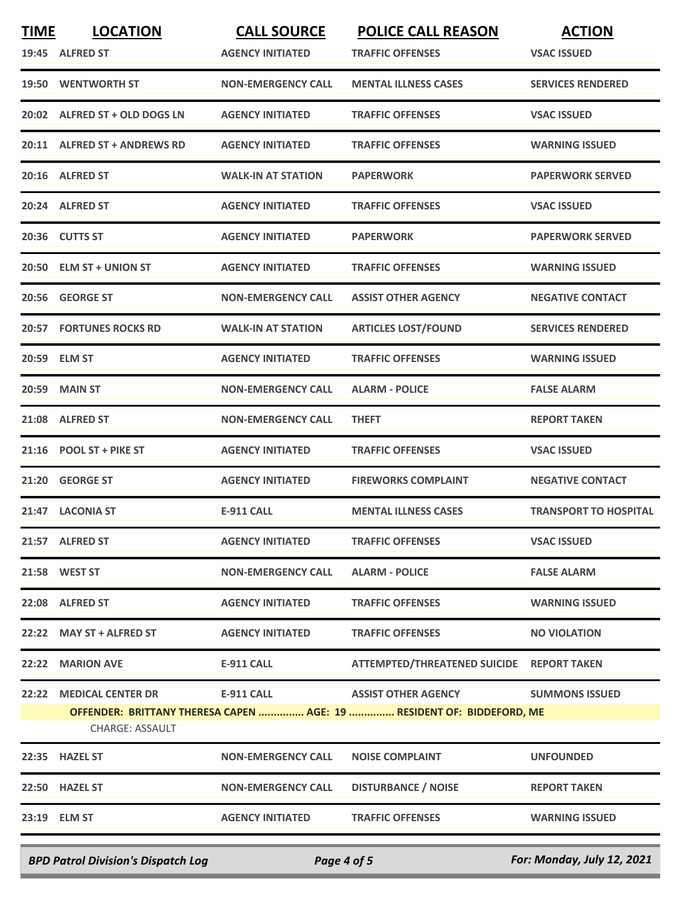| <b>TIME</b> | <b>LOCATION</b>                | <b>CALL SOURCE</b>        | <b>POLICE CALL REASON</b>                                             | <b>ACTION</b>                |
|-------------|--------------------------------|---------------------------|-----------------------------------------------------------------------|------------------------------|
|             | 19:45 ALFRED ST                | <b>AGENCY INITIATED</b>   | <b>TRAFFIC OFFENSES</b>                                               | <b>VSAC ISSUED</b>           |
|             | 19:50 WENTWORTH ST             | <b>NON-EMERGENCY CALL</b> | <b>MENTAL ILLNESS CASES</b>                                           | <b>SERVICES RENDERED</b>     |
|             | 20:02 ALFRED ST + OLD DOGS LN  | <b>AGENCY INITIATED</b>   | <b>TRAFFIC OFFENSES</b>                                               | <b>VSAC ISSUED</b>           |
|             | 20:11 ALFRED ST + ANDREWS RD   | <b>AGENCY INITIATED</b>   | <b>TRAFFIC OFFENSES</b>                                               | <b>WARNING ISSUED</b>        |
|             | 20:16 ALFRED ST                | <b>WALK-IN AT STATION</b> | <b>PAPERWORK</b>                                                      | <b>PAPERWORK SERVED</b>      |
|             | 20:24 ALFRED ST                | <b>AGENCY INITIATED</b>   | <b>TRAFFIC OFFENSES</b>                                               | <b>VSAC ISSUED</b>           |
|             | 20:36 CUTTS ST                 | <b>AGENCY INITIATED</b>   | <b>PAPERWORK</b>                                                      | <b>PAPERWORK SERVED</b>      |
|             | 20:50 ELM ST + UNION ST        | <b>AGENCY INITIATED</b>   | <b>TRAFFIC OFFENSES</b>                                               | <b>WARNING ISSUED</b>        |
| 20:56       | <b>GEORGE ST</b>               | <b>NON-EMERGENCY CALL</b> | <b>ASSIST OTHER AGENCY</b>                                            | <b>NEGATIVE CONTACT</b>      |
|             | <b>20:57 FORTUNES ROCKS RD</b> | <b>WALK-IN AT STATION</b> | <b>ARTICLES LOST/FOUND</b>                                            | <b>SERVICES RENDERED</b>     |
|             | 20:59 ELM ST                   | <b>AGENCY INITIATED</b>   | <b>TRAFFIC OFFENSES</b>                                               | <b>WARNING ISSUED</b>        |
| 20:59       | <b>MAIN ST</b>                 | <b>NON-EMERGENCY CALL</b> | <b>ALARM - POLICE</b>                                                 | <b>FALSE ALARM</b>           |
| 21:08       | <b>ALFRED ST</b>               | <b>NON-EMERGENCY CALL</b> | <b>THEFT</b>                                                          | <b>REPORT TAKEN</b>          |
| 21:16       | <b>POOL ST + PIKE ST</b>       | <b>AGENCY INITIATED</b>   | <b>TRAFFIC OFFENSES</b>                                               | <b>VSAC ISSUED</b>           |
|             | 21:20 GEORGE ST                | <b>AGENCY INITIATED</b>   | <b>FIREWORKS COMPLAINT</b>                                            | <b>NEGATIVE CONTACT</b>      |
|             | 21:47 LACONIA ST               | E-911 CALL                | <b>MENTAL ILLNESS CASES</b>                                           | <b>TRANSPORT TO HOSPITAL</b> |
|             | 21:57 ALFRED ST                | <b>AGENCY INITIATED</b>   | <b>TRAFFIC OFFENSES</b>                                               | <b>VSAC ISSUED</b>           |
|             | 21:58 WEST ST                  | <b>NON-EMERGENCY CALL</b> | <b>ALARM - POLICE</b>                                                 | <b>FALSE ALARM</b>           |
|             | 22:08 ALFRED ST                | <b>AGENCY INITIATED</b>   | <b>TRAFFIC OFFENSES</b>                                               | <b>WARNING ISSUED</b>        |
|             | 22:22 MAY ST + ALFRED ST       | <b>AGENCY INITIATED</b>   | <b>TRAFFIC OFFENSES</b>                                               | <b>NO VIOLATION</b>          |
|             | 22:22 MARION AVE               | E-911 CALL                | ATTEMPTED/THREATENED SUICIDE REPORT TAKEN                             |                              |
|             | 22:22 MEDICAL CENTER DR        | E-911 CALL                | <b>ASSIST OTHER AGENCY</b>                                            | <b>SUMMONS ISSUED</b>        |
|             | CHARGE: ASSAULT                |                           | OFFENDER: BRITTANY THERESA CAPEN  AGE: 19  RESIDENT OF: BIDDEFORD, ME |                              |
|             | 22:35 HAZEL ST                 | <b>NON-EMERGENCY CALL</b> | <b>NOISE COMPLAINT</b>                                                | <b>UNFOUNDED</b>             |
|             | 22:50 HAZEL ST                 | <b>NON-EMERGENCY CALL</b> | <b>DISTURBANCE / NOISE</b>                                            | <b>REPORT TAKEN</b>          |
|             | 23:19 ELM ST                   | <b>AGENCY INITIATED</b>   | <b>TRAFFIC OFFENSES</b>                                               | <b>WARNING ISSUED</b>        |
|             |                                |                           |                                                                       |                              |

*BPD Patrol Division's Dispatch Log Page 4 of 5 For: Monday, July 12, 2021*